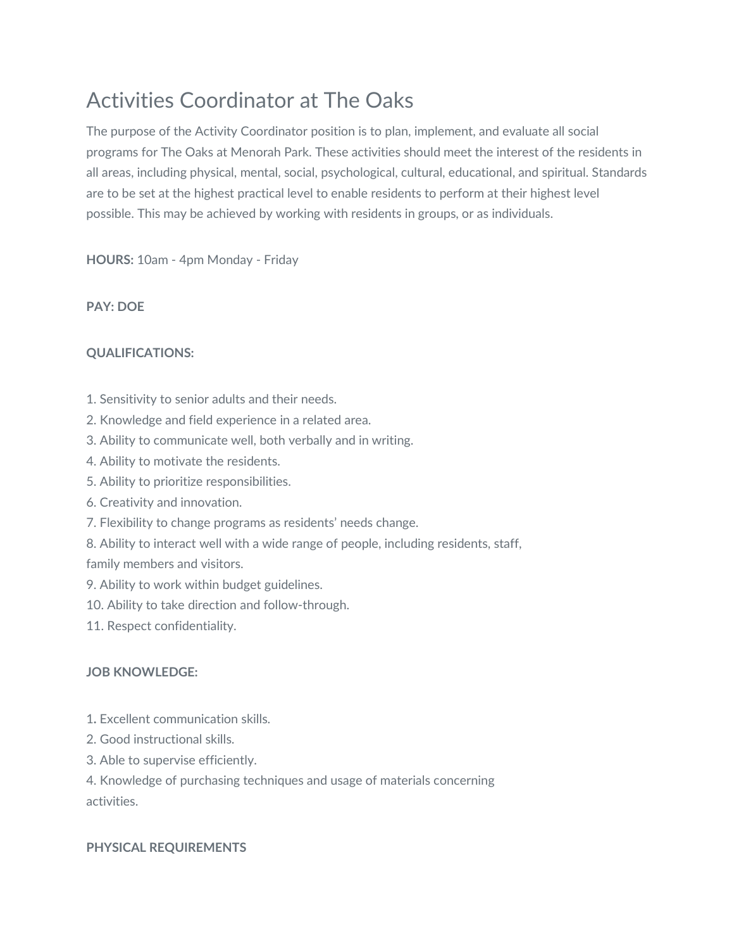# Activities Coordinator at The Oaks

The purpose of the Activity Coordinator position is to plan, implement, and evaluate all social programs for The Oaks at Menorah Park. These activities should meet the interest of the residents in all areas, including physical, mental, social, psychological, cultural, educational, and spiritual. Standards are to be set at the highest practical level to enable residents to perform at their highest level possible. This may be achieved by working with residents in groups, or as individuals.

**HOURS:** 10am - 4pm Monday - Friday

#### **PAY: DOE**

## **QUALIFICATIONS:**

- 1. Sensitivity to senior adults and their needs.
- 2. Knowledge and field experience in a related area.
- 3. Ability to communicate well, both verbally and in writing.
- 4. Ability to motivate the residents.
- 5. Ability to prioritize responsibilities.
- 6. Creativity and innovation.
- 7. Flexibility to change programs as residents' needs change.
- 8. Ability to interact well with a wide range of people, including residents, staff,

family members and visitors.

- 9. Ability to work within budget guidelines.
- 10. Ability to take direction and follow-through.
- 11. Respect confidentiality.

## **JOB KNOWLEDGE:**

- 1**.** Excellent communication skills.
- 2. Good instructional skills.
- 3. Able to supervise efficiently.
- 4. Knowledge of purchasing techniques and usage of materials concerning activities.

## **PHYSICAL REQUIREMENTS**